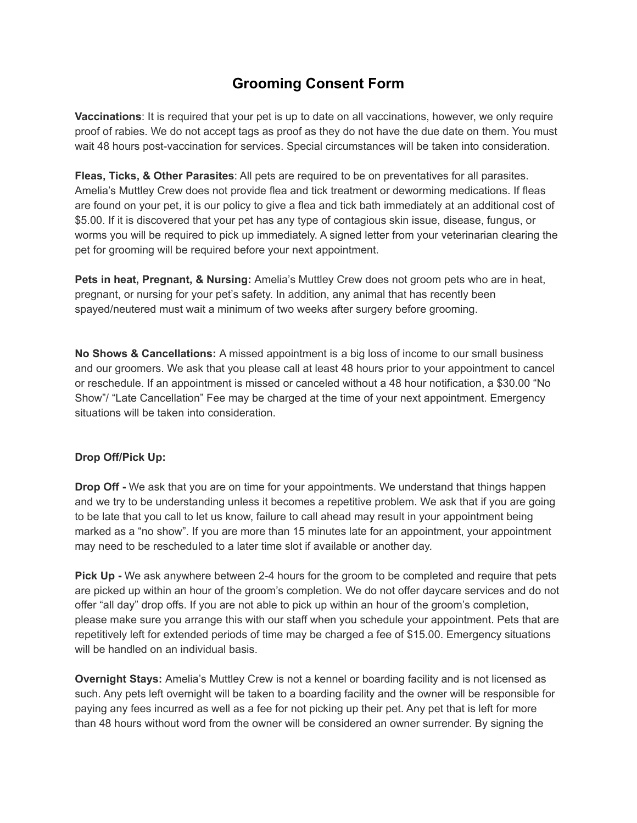## **Grooming Consent Form**

**Vaccinations**: It is required that your pet is up to date on all vaccinations, however, we only require proof of rabies. We do not accept tags as proof as they do not have the due date on them. You must wait 48 hours post-vaccination for services. Special circumstances will be taken into consideration.

**Fleas, Ticks, & Other Parasites**: All pets are required to be on preventatives for all parasites. Amelia's Muttley Crew does not provide flea and tick treatment or deworming medications. If fleas are found on your pet, it is our policy to give a flea and tick bath immediately at an additional cost of \$5.00. If it is discovered that your pet has any type of contagious skin issue, disease, fungus, or worms you will be required to pick up immediately. A signed letter from your veterinarian clearing the pet for grooming will be required before your next appointment.

**Pets in heat, Pregnant, & Nursing:** Amelia's Muttley Crew does not groom pets who are in heat, pregnant, or nursing for your pet's safety. In addition, any animal that has recently been spayed/neutered must wait a minimum of two weeks after surgery before grooming.

**No Shows & Cancellations:** A missed appointment is a big loss of income to our small business and our groomers. We ask that you please call at least 48 hours prior to your appointment to cancel or reschedule. If an appointment is missed or canceled without a 48 hour notification, a \$30.00 "No Show"/ "Late Cancellation" Fee may be charged at the time of your next appointment. Emergency situations will be taken into consideration.

## **Drop Off/Pick Up:**

**Drop Off -** We ask that you are on time for your appointments. We understand that things happen and we try to be understanding unless it becomes a repetitive problem. We ask that if you are going to be late that you call to let us know, failure to call ahead may result in your appointment being marked as a "no show". If you are more than 15 minutes late for an appointment, your appointment may need to be rescheduled to a later time slot if available or another day.

**Pick Up -** We ask anywhere between 2-4 hours for the groom to be completed and require that pets are picked up within an hour of the groom's completion. We do not offer daycare services and do not offer "all day" drop offs. If you are not able to pick up within an hour of the groom's completion, please make sure you arrange this with our staff when you schedule your appointment. Pets that are repetitively left for extended periods of time may be charged a fee of \$15.00. Emergency situations will be handled on an individual basis.

**Overnight Stays:** Amelia's Muttley Crew is not a kennel or boarding facility and is not licensed as such. Any pets left overnight will be taken to a boarding facility and the owner will be responsible for paying any fees incurred as well as a fee for not picking up their pet. Any pet that is left for more than 48 hours without word from the owner will be considered an owner surrender. By signing the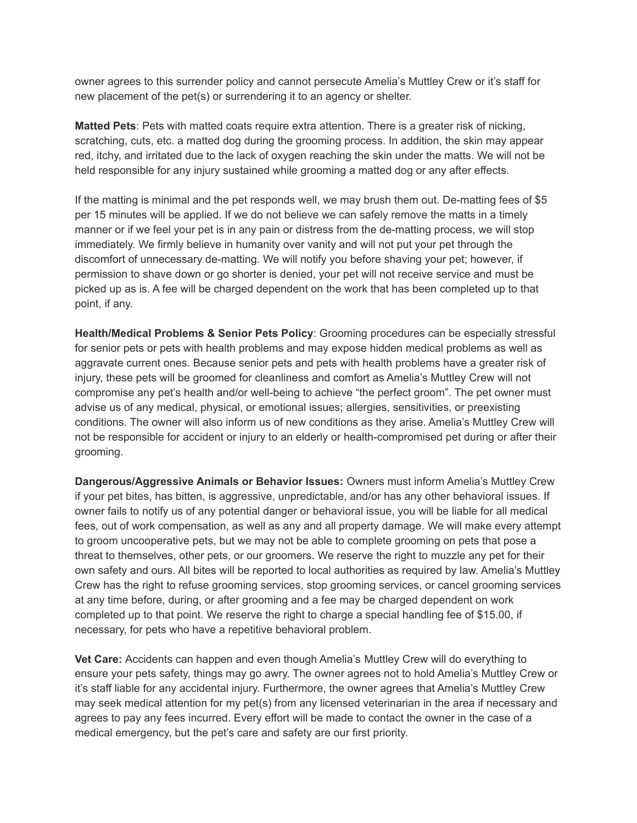owner agrees to this surrender policy and cannot persecute Amelia's Muttley Crew or it's staff for new placement of the pet(s) or surrendering it to an agency or shelter.

**Matted Pets**: Pets with matted coats require extra attention. There is a greater risk of nicking, scratching, cuts, etc. a matted dog during the grooming process. In addition, the skin may appear red, itchy, and irritated due to the lack of oxygen reaching the skin under the matts. We will not be held responsible for any injury sustained while grooming a matted dog or any after effects.

If the matting is minimal and the pet responds well, we may brush them out. De-matting fees of \$5 per 15 minutes will be applied. If we do not believe we can safely remove the matts in a timely manner or if we feel your pet is in any pain or distress from the de-matting process, we will stop immediately. We firmly believe in humanity over vanity and will not put your pet through the discomfort of unnecessary de-matting. We will notify you before shaving your pet; however, if permission to shave down or go shorter is denied, your pet will not receive service and must be picked up as is. A fee will be charged dependent on the work that has been completed up to that point, if any.

**Health/Medical Problems & Senior Pets Policy**: Grooming procedures can be especially stressful for senior pets or pets with health problems and may expose hidden medical problems as well as aggravate current ones. Because senior pets and pets with health problems have a greater risk of injury, these pets will be groomed for cleanliness and comfort as Amelia's Muttley Crew will not compromise any pet's health and/or well-being to achieve "the perfect groom". The pet owner must advise us of any medical, physical, or emotional issues; allergies, sensitivities, or preexisting conditions. The owner will also inform us of new conditions as they arise. Amelia's Muttley Crew will not be responsible for accident or injury to an elderly or health-compromised pet during or after their grooming.

**Dangerous/Aggressive Animals or Behavior Issues:** Owners must inform Amelia's Muttley Crew if your pet bites, has bitten, is aggressive, unpredictable, and/or has any other behavioral issues. If owner fails to notify us of any potential danger or behavioral issue, you will be liable for all medical fees, out of work compensation, as well as any and all property damage. We will make every attempt to groom uncooperative pets, but we may not be able to complete grooming on pets that pose a threat to themselves, other pets, or our groomers. We reserve the right to muzzle any pet for their own safety and ours. All bites will be reported to local authorities as required by law. Amelia's Muttley Crew has the right to refuse grooming services, stop grooming services, or cancel grooming services at any time before, during, or after grooming and a fee may be charged dependent on work completed up to that point. We reserve the right to charge a special handling fee of \$15.00, if necessary, for pets who have a repetitive behavioral problem.

**Vet Care:** Accidents can happen and even though Amelia's Muttley Crew will do everything to ensure your pets safety, things may go awry. The owner agrees not to hold Amelia's Muttley Crew or it's staff liable for any accidental injury. Furthermore, the owner agrees that Amelia's Muttley Crew may seek medical attention for my pet(s) from any licensed veterinarian in the area if necessary and agrees to pay any fees incurred. Every effort will be made to contact the owner in the case of a medical emergency, but the pet's care and safety are our first priority.